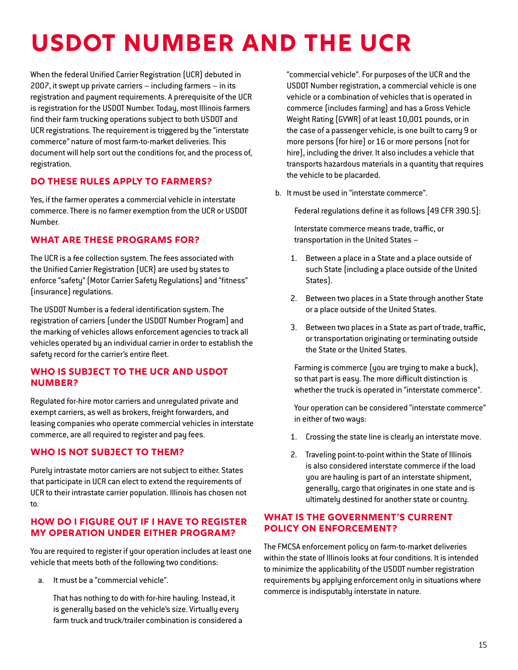# **USDOT Number and the UCR**

When the federal Unified Carrier Registration (UCR) debuted in 2007, it swept up private carriers – including farmers – in its registration and payment requirements. A prerequisite of the UCR is registration for the USDOT Number. Today, most Illinois farmers find their farm trucking operations subject to both USDOT and UCR registrations. The requirement is triggered by the "interstate commerce" nature of most farm-to-market deliveries. This document will help sort out the conditions for, and the process of, registration.

# **Do these rules apply to Farmers?**

Yes, if the farmer operates a commercial vehicle in interstate commerce. There is no farmer exemption from the UCR or USDOT Number.

# **What are these programs for?**

The UCR is a fee collection system. The fees associated with the Unified Carrier Registration (UCR) are used by states to enforce "safety" (Motor Carrier Safety Regulations) and "fitness" (insurance) regulations.

The USDOT Number is a federal identification system. The registration of carriers (under the USDOT Number Program) and the marking of vehicles allows enforcement agencies to track all vehicles operated by an individual carrier in order to establish the safety record for the carrier's entire fleet.

## **Who is subject to the UCR and USDOT Number?**

Regulated for-hire motor carriers and unregulated private and exempt carriers, as well as brokers, freight forwarders, and leasing companies who operate commercial vehicles in interstate commerce, are all required to register and pay fees.

# **Who is not subject to them?**

Purely intrastate motor carriers are not subject to either. States that participate in UCR can elect to extend the requirements of UCR to their intrastate carrier population. Illinois has chosen not to.

## **How do I figure out if I have to register my operation under either program?**

You are required to register if your operation includes at least one vehicle that meets both of the following two conditions:

a. It must be a "commercial vehicle".

That has nothing to do with for-hire hauling. Instead, it is generally based on the vehicle's size. Virtually every farm truck and truck/trailer combination is considered a "commercial vehicle". For purposes of the UCR and the USDOT Number registration, a commercial vehicle is one vehicle or a combination of vehicles that is operated in commerce (includes farming) and has a Gross Vehicle Weight Rating (GVWR) of at least 10,001 pounds, or in the case of a passenger vehicle, is one built to carry 9 or more persons (for hire) or 16 or more persons (not for hire), including the driver. It also includes a vehicle that transports hazardous materials in a quantity that requires the vehicle to be placarded.

b. It must be used in "interstate commerce".

Federal regulations define it as follows [49 CFR 390.5]:

Interstate commerce means trade, traffic, or transportation in the United States –

- 1. Between a place in a State and a place outside of such State (including a place outside of the United States).
- 2. Between two places in a State through another State or a place outside of the United States.
- 3. Between two places in a State as part of trade, traffic, or transportation originating or terminating outside the State or the United States.

Farming is commerce (you are trying to make a buck), so that part is easy. The more difficult distinction is whether the truck is operated in "interstate commerce".

Your operation can be considered "interstate commerce" in either of two ways:

- 1. Crossing the state line is clearly an interstate move.
- 2. Traveling point-to-point within the State of Illinois is also considered interstate commerce if the load you are hauling is part of an interstate shipment, generally, cargo that originates in one state and is ultimately destined for another state or country.

## **What is the government's current policy on enforcement?**

The FMCSA enforcement policy on farm-to-market deliveries within the state of Illinois looks at four conditions. It is intended to minimize the applicability of the USDOT number registration requirements by applying enforcement only in situations where commerce is indisputably interstate in nature.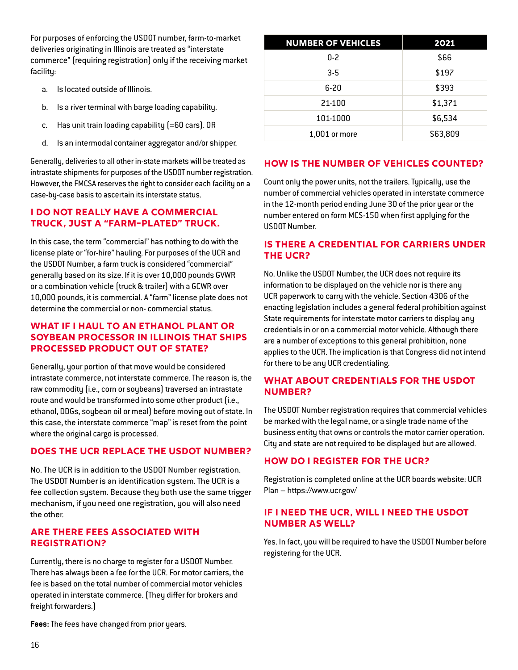For purposes of enforcing the USDOT number, farm-to-market deliveries originating in Illinois are treated as "interstate commerce" (requiring registration) only if the receiving market facility:

- a. Is located outside of Illinois.
- b. Is a river terminal with barge loading capability.
- c. Has unit train loading capability (=60 cars). OR
- d. Is an intermodal container aggregator and/or shipper.

Generally, deliveries to all other in-state markets will be treated as intrastate shipments for purposes of the USDOT number registration. However, the FMCSA reserves the right to consider each facility on a case-by-case basis to ascertain its interstate status.

#### **I do not really have a commercial truck, just a "farm-plated" truck.**

In this case, the term "commercial" has nothing to do with the license plate or "for-hire" hauling. For purposes of the UCR and the USDOT Number, a farm truck is considered "commercial" generally based on its size. If it is over 10,000 pounds GVWR or a combination vehicle (truck & trailer) with a GCWR over 10,000 pounds, it is commercial. A "farm" license plate does not determine the commercial or non- commercial status.

## **What if I haul to an ethanol plant or soybean processor in Illinois that ships processed product out of state?**

Generally, your portion of that move would be considered intrastate commerce, not interstate commerce. The reason is, the raw commodity (i.e., corn or soybeans) traversed an intrastate route and would be transformed into some other product (i.e., ethanol, DDGs, soybean oil or meal) before moving out of state. In this case, the interstate commerce "map" is reset from the point where the original cargo is processed.

## **Does the UCR replace the USDOT Number?**

No. The UCR is in addition to the USDOT Number registration. The USDOT Number is an identification system. The UCR is a fee collection system. Because they both use the same trigger mechanism, if you need one registration, you will also need the other.

#### **Are there fees associated with registration?**

Currently, there is no charge to register for a USDOT Number. There has always been a fee for the UCR. For motor carriers, the fee is based on the total number of commercial motor vehicles operated in interstate commerce. (They differ for brokers and freight forwarders.)

| <b>NUMBER OF VEHICLES</b> | 2021     |
|---------------------------|----------|
| $0-2$                     | \$66     |
| $3-5$                     | \$197    |
| $6 - 20$                  | \$393    |
| 21-100                    | \$1,371  |
| 101-1000                  | \$6,534  |
| 1,001 or more             | \$63,809 |

#### **How is the number of vehicles counted?**

Count only the power units, not the trailers. Typically, use the number of commercial vehicles operated in interstate commerce in the 12-month period ending June 30 of the prior year or the number entered on form MCS-150 when first applying for the USDOT Number.

## **Is there a credential for carriers under the UCR?**

No. Unlike the USDOT Number, the UCR does not require its information to be displayed on the vehicle nor is there any UCR paperwork to carry with the vehicle. Section 4306 of the enacting legislation includes a general federal prohibition against State requirements for interstate motor carriers to display any credentials in or on a commercial motor vehicle. Although there are a number of exceptions to this general prohibition, none applies to the UCR. The implication is that Congress did not intend for there to be any UCR credentialing.

## **What About credentials for the USDOT Number?**

The USDOT Number registration requires that commercial vehicles be marked with the legal name, or a single trade name of the business entity that owns or controls the motor carrier operation. City and state are not required to be displayed but are allowed.

## **How do I register for the UCR?**

Registration is completed online at the UCR boards website: UCR Plan – <https://www.ucr.gov/>

## **If I need the UCR, will I need the USDOT Number as well?**

Yes. In fact, you will be required to have the USDOT Number before registering for the UCR.

**Fees:** The fees have changed from prior years.